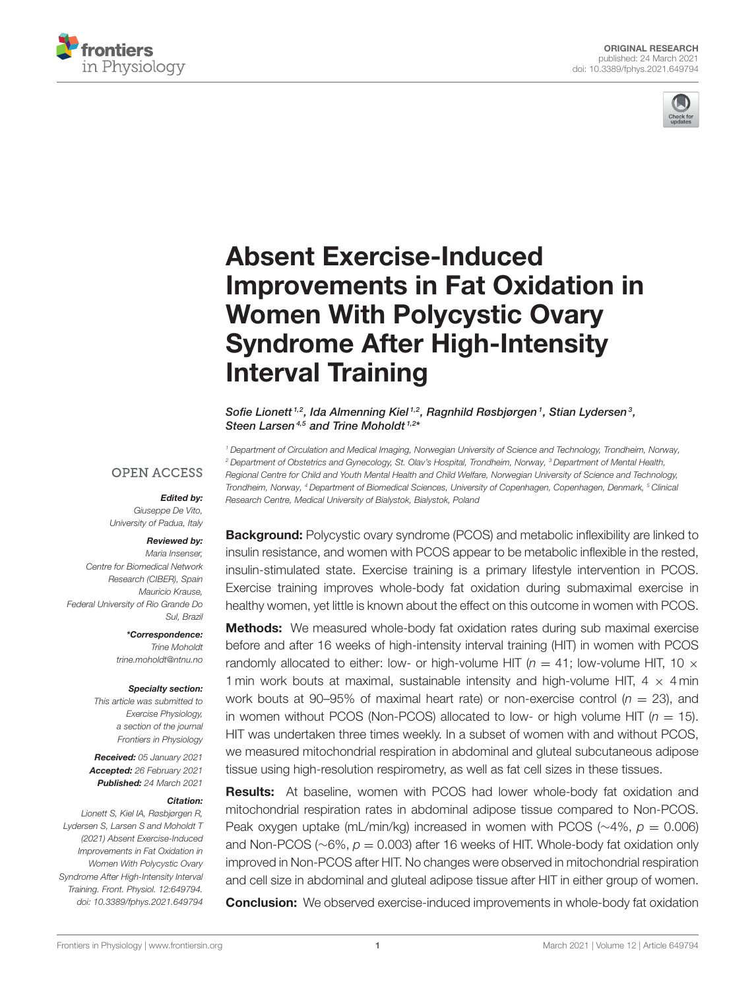



# Absent Exercise-Induced [Improvements in Fat Oxidation in](https://www.frontiersin.org/articles/10.3389/fphys.2021.649794/full) Women With Polycystic Ovary Syndrome After High-Intensity Interval Training

Sofie Lionett<sup>1,2</sup>, Ida Almenning Kiel<sup>1,2</sup>, Ragnhild Røsbjørgen<sup>1</sup>, Stian Lydersen<sup>3</sup>, Steen Larsen<sup>4,5</sup> and Trine Moholdt<sup>1,2\*</sup>

*<sup>1</sup> Department of Circulation and Medical Imaging, Norwegian University of Science and Technology, Trondheim, Norway, <sup>2</sup> Department of Obstetrics and Gynecology, St. Olav's Hospital, Trondheim, Norway, <sup>3</sup> Department of Mental Health, Regional Centre for Child and Youth Mental Health and Child Welfare, Norwegian University of Science and Technology, Trondheim, Norway, <sup>4</sup> Department of Biomedical Sciences, University of Copenhagen, Copenhagen, Denmark, <sup>5</sup> Clinical Research Centre, Medical University of Bialystok, Bialystok, Poland*

# **OPEN ACCESS**

# Edited by:

*Giuseppe De Vito, University of Padua, Italy*

#### Reviewed by:

*Maria Insenser, Centre for Biomedical Network Research (CIBER), Spain Mauricio Krause, Federal University of Rio Grande Do Sul, Brazil*

> \*Correspondence: *Trine Moholdt [trine.moholdt@ntnu.no](mailto:trine.moholdt@ntnu.no)*

#### Specialty section:

*This article was submitted to Exercise Physiology, a section of the journal Frontiers in Physiology*

Received: *05 January 2021* Accepted: *26 February 2021* Published: *24 March 2021*

#### Citation:

*Lionett S, Kiel IA, Røsbjørgen R, Lydersen S, Larsen S and Moholdt T (2021) Absent Exercise-Induced Improvements in Fat Oxidation in Women With Polycystic Ovary Syndrome After High-Intensity Interval Training. Front. Physiol. 12:649794. doi: [10.3389/fphys.2021.649794](https://doi.org/10.3389/fphys.2021.649794)*

**Background:** Polycystic ovary syndrome (PCOS) and metabolic inflexibility are linked to insulin resistance, and women with PCOS appear to be metabolic inflexible in the rested, insulin-stimulated state. Exercise training is a primary lifestyle intervention in PCOS. Exercise training improves whole-body fat oxidation during submaximal exercise in healthy women, yet little is known about the effect on this outcome in women with PCOS.

**Methods:** We measured whole-body fat oxidation rates during sub maximal exercise before and after 16 weeks of high-intensity interval training (HIT) in women with PCOS randomly allocated to either: low- or high-volume HIT ( $n = 41$ ; low-volume HIT, 10  $\times$ 1 min work bouts at maximal, sustainable intensity and high-volume HIT,  $4 \times 4$  min work bouts at 90–95% of maximal heart rate) or non-exercise control  $(n = 23)$ , and in women without PCOS (Non-PCOS) allocated to low- or high volume HIT  $(n = 15)$ . HIT was undertaken three times weekly. In a subset of women with and without PCOS, we measured mitochondrial respiration in abdominal and gluteal subcutaneous adipose tissue using high-resolution respirometry, as well as fat cell sizes in these tissues.

Results: At baseline, women with PCOS had lower whole-body fat oxidation and mitochondrial respiration rates in abdominal adipose tissue compared to Non-PCOS. Peak oxygen uptake (mL/min/kg) increased in women with PCOS (∼4%, *p* = 0.006) and Non-PCOS (∼6%, *p* = 0.003) after 16 weeks of HIT. Whole-body fat oxidation only improved in Non-PCOS after HIT. No changes were observed in mitochondrial respiration and cell size in abdominal and gluteal adipose tissue after HIT in either group of women.

**Conclusion:** We observed exercise-induced improvements in whole-body fat oxidation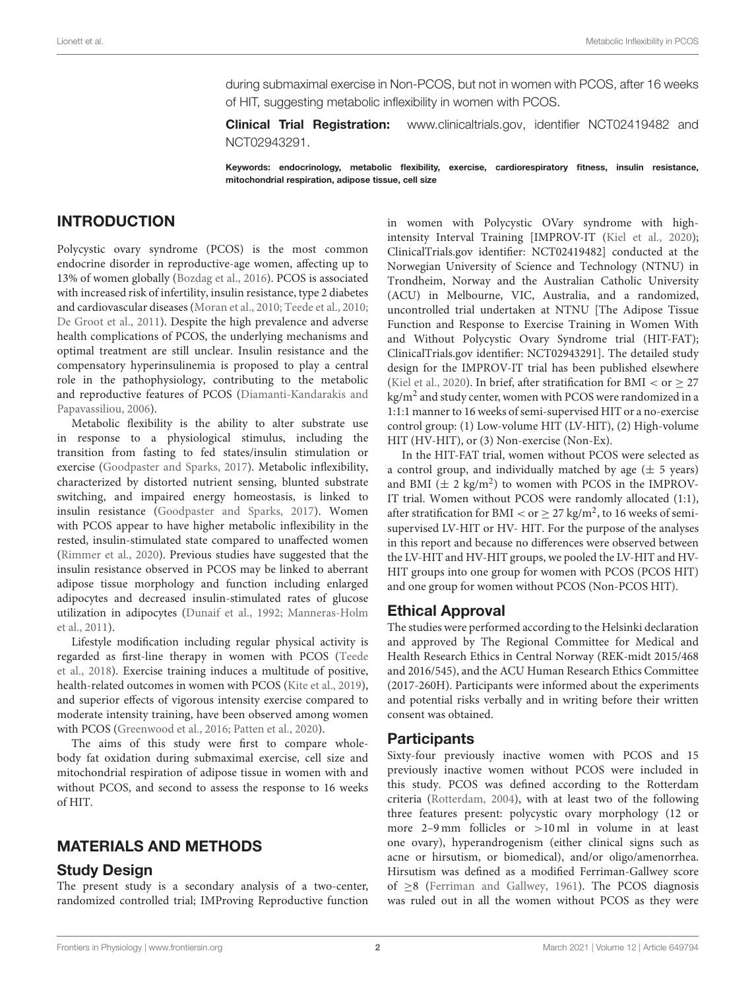during submaximal exercise in Non-PCOS, but not in women with PCOS, after 16 weeks of HIT, suggesting metabolic inflexibility in women with PCOS.

**Clinical Trial Registration:** [www.clinicaltrials.gov,](http://www.clinicaltrials.gov) identifier NCT02419482 and NCT02943291.

Keywords: endocrinology, metabolic flexibility, exercise, cardiorespiratory fitness, insulin resistance, mitochondrial respiration, adipose tissue, cell size

# INTRODUCTION

Polycystic ovary syndrome (PCOS) is the most common endocrine disorder in reproductive-age women, affecting up to 13% of women globally [\(Bozdag et al., 2016\)](#page-11-0). PCOS is associated with increased risk of infertility, insulin resistance, type 2 diabetes and cardiovascular diseases [\(Moran et al., 2010;](#page-11-1) [Teede et al., 2010;](#page-11-2) [De Groot et al., 2011\)](#page-11-3). Despite the high prevalence and adverse health complications of PCOS, the underlying mechanisms and optimal treatment are still unclear. Insulin resistance and the compensatory hyperinsulinemia is proposed to play a central role in the pathophysiology, contributing to the metabolic and reproductive features of PCOS (Diamanti-Kandarakis and Papavassiliou, [2006\)](#page-11-4).

Metabolic flexibility is the ability to alter substrate use in response to a physiological stimulus, including the transition from fasting to fed states/insulin stimulation or exercise [\(Goodpaster and Sparks, 2017\)](#page-11-5). Metabolic inflexibility, characterized by distorted nutrient sensing, blunted substrate switching, and impaired energy homeostasis, is linked to insulin resistance [\(Goodpaster and Sparks, 2017\)](#page-11-5). Women with PCOS appear to have higher metabolic inflexibility in the rested, insulin-stimulated state compared to unaffected women [\(Rimmer et al., 2020\)](#page-11-6). Previous studies have suggested that the insulin resistance observed in PCOS may be linked to aberrant adipose tissue morphology and function including enlarged adipocytes and decreased insulin-stimulated rates of glucose utilization in adipocytes [\(Dunaif et al., 1992;](#page-11-7) Manneras-Holm et al., [2011\)](#page-11-8).

Lifestyle modification including regular physical activity is regarded as first-line therapy in women with PCOS (Teede et al., [2018\)](#page-12-0). Exercise training induces a multitude of positive, health-related outcomes in women with PCOS [\(Kite et al., 2019\)](#page-11-9), and superior effects of vigorous intensity exercise compared to moderate intensity training, have been observed among women with PCOS [\(Greenwood et al., 2016;](#page-11-10) [Patten et al., 2020\)](#page-11-11).

The aims of this study were first to compare wholebody fat oxidation during submaximal exercise, cell size and mitochondrial respiration of adipose tissue in women with and without PCOS, and second to assess the response to 16 weeks of HIT.

# MATERIALS AND METHODS

### Study Design

The present study is a secondary analysis of a two-center, randomized controlled trial; IMProving Reproductive function in women with Polycystic OVary syndrome with highintensity Interval Training [IMPROV-IT [\(Kiel et al., 2020\)](#page-11-12); ClinicalTrials.gov identifier: NCT02419482] conducted at the Norwegian University of Science and Technology (NTNU) in Trondheim, Norway and the Australian Catholic University (ACU) in Melbourne, VIC, Australia, and a randomized, uncontrolled trial undertaken at NTNU [The Adipose Tissue Function and Response to Exercise Training in Women With and Without Polycystic Ovary Syndrome trial (HIT-FAT); ClinicalTrials.gov identifier: NCT02943291]. The detailed study design for the IMPROV-IT trial has been published elsewhere [\(Kiel et al., 2020\)](#page-11-12). In brief, after stratification for BMI < or  $\geq$  27 kg/m<sup>2</sup> and study center, women with PCOS were randomized in a 1:1:1 manner to 16 weeks of semi-supervised HIT or a no-exercise control group: (1) Low-volume HIT (LV-HIT), (2) High-volume HIT (HV-HIT), or (3) Non-exercise (Non-Ex).

In the HIT-FAT trial, women without PCOS were selected as a control group, and individually matched by age  $(\pm 5 \text{ years})$ and BMI  $(\pm 2 \text{ kg/m}^2)$  to women with PCOS in the IMPROV-IT trial. Women without PCOS were randomly allocated (1:1), after stratification for BMI < or  $\geq$  27 kg/m<sup>2</sup>, to 16 weeks of semisupervised LV-HIT or HV- HIT. For the purpose of the analyses in this report and because no differences were observed between the LV-HIT and HV-HIT groups, we pooled the LV-HIT and HV-HIT groups into one group for women with PCOS (PCOS HIT) and one group for women without PCOS (Non-PCOS HIT).

# Ethical Approval

The studies were performed according to the Helsinki declaration and approved by The Regional Committee for Medical and Health Research Ethics in Central Norway (REK-midt 2015/468 and 2016/545), and the ACU Human Research Ethics Committee (2017-260H). Participants were informed about the experiments and potential risks verbally and in writing before their written consent was obtained.

### Participants

Sixty-four previously inactive women with PCOS and 15 previously inactive women without PCOS were included in this study. PCOS was defined according to the Rotterdam criteria [\(Rotterdam, 2004\)](#page-11-13), with at least two of the following three features present: polycystic ovary morphology (12 or more 2–9 mm follicles or >10 ml in volume in at least one ovary), hyperandrogenism (either clinical signs such as acne or hirsutism, or biomedical), and/or oligo/amenorrhea. Hirsutism was defined as a modified Ferriman-Gallwey score of ≥8 [\(Ferriman and Gallwey, 1961\)](#page-11-14). The PCOS diagnosis was ruled out in all the women without PCOS as they were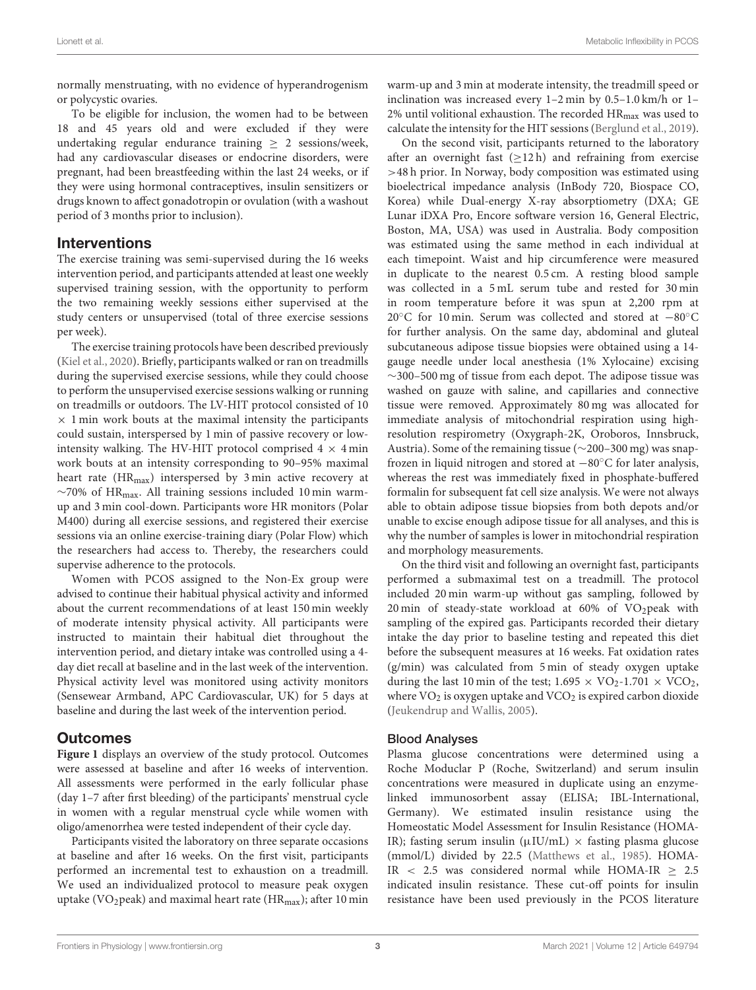normally menstruating, with no evidence of hyperandrogenism or polycystic ovaries.

To be eligible for inclusion, the women had to be between 18 and 45 years old and were excluded if they were undertaking regular endurance training  $\geq 2$  sessions/week, had any cardiovascular diseases or endocrine disorders, were pregnant, had been breastfeeding within the last 24 weeks, or if they were using hormonal contraceptives, insulin sensitizers or drugs known to affect gonadotropin or ovulation (with a washout period of 3 months prior to inclusion).

#### Interventions

The exercise training was semi-supervised during the 16 weeks intervention period, and participants attended at least one weekly supervised training session, with the opportunity to perform the two remaining weekly sessions either supervised at the study centers or unsupervised (total of three exercise sessions per week).

The exercise training protocols have been described previously [\(Kiel et al., 2020\)](#page-11-12). Briefly, participants walked or ran on treadmills during the supervised exercise sessions, while they could choose to perform the unsupervised exercise sessions walking or running on treadmills or outdoors. The LV-HIT protocol consisted of 10  $\times$  1 min work bouts at the maximal intensity the participants could sustain, interspersed by 1 min of passive recovery or lowintensity walking. The HV-HIT protocol comprised  $4 \times 4$  min work bouts at an intensity corresponding to 90–95% maximal heart rate  $(HR_{max})$  interspersed by 3 min active recovery at ∼70% of HRmax. All training sessions included 10 min warmup and 3 min cool-down. Participants wore HR monitors (Polar M400) during all exercise sessions, and registered their exercise sessions via an online exercise-training diary (Polar Flow) which the researchers had access to. Thereby, the researchers could supervise adherence to the protocols.

Women with PCOS assigned to the Non-Ex group were advised to continue their habitual physical activity and informed about the current recommendations of at least 150 min weekly of moderate intensity physical activity. All participants were instructed to maintain their habitual diet throughout the intervention period, and dietary intake was controlled using a 4 day diet recall at baseline and in the last week of the intervention. Physical activity level was monitored using activity monitors (Sensewear Armband, APC Cardiovascular, UK) for 5 days at baseline and during the last week of the intervention period.

### Outcomes

**[Figure 1](#page-3-0)** displays an overview of the study protocol. Outcomes were assessed at baseline and after 16 weeks of intervention. All assessments were performed in the early follicular phase (day 1–7 after first bleeding) of the participants' menstrual cycle in women with a regular menstrual cycle while women with oligo/amenorrhea were tested independent of their cycle day.

Participants visited the laboratory on three separate occasions at baseline and after 16 weeks. On the first visit, participants performed an incremental test to exhaustion on a treadmill. We used an individualized protocol to measure peak oxygen uptake (VO<sub>2</sub>peak) and maximal heart rate (HR<sub>max</sub>); after 10 min warm-up and 3 min at moderate intensity, the treadmill speed or inclination was increased every 1–2 min by 0.5–1.0 km/h or 1– 2% until volitional exhaustion. The recorded  $HR_{max}$  was used to calculate the intensity for the HIT sessions [\(Berglund et al., 2019\)](#page-11-15).

On the second visit, participants returned to the laboratory after an overnight fast  $(>12 h)$  and refraining from exercise >48 h prior. In Norway, body composition was estimated using bioelectrical impedance analysis (InBody 720, Biospace CO, Korea) while Dual-energy X-ray absorptiometry (DXA; GE Lunar iDXA Pro, Encore software version 16, General Electric, Boston, MA, USA) was used in Australia. Body composition was estimated using the same method in each individual at each timepoint. Waist and hip circumference were measured in duplicate to the nearest 0.5 cm. A resting blood sample was collected in a 5 mL serum tube and rested for 30 min in room temperature before it was spun at 2,200 rpm at 20◦C for 10 min. Serum was collected and stored at −80◦C for further analysis. On the same day, abdominal and gluteal subcutaneous adipose tissue biopsies were obtained using a 14 gauge needle under local anesthesia (1% Xylocaine) excising  $\sim$ 300–500 mg of tissue from each depot. The adipose tissue was washed on gauze with saline, and capillaries and connective tissue were removed. Approximately 80 mg was allocated for immediate analysis of mitochondrial respiration using highresolution respirometry (Oxygraph-2K, Oroboros, Innsbruck, Austria). Some of the remaining tissue (∼200–300 mg) was snapfrozen in liquid nitrogen and stored at −80◦C for later analysis, whereas the rest was immediately fixed in phosphate-buffered formalin for subsequent fat cell size analysis. We were not always able to obtain adipose tissue biopsies from both depots and/or unable to excise enough adipose tissue for all analyses, and this is why the number of samples is lower in mitochondrial respiration and morphology measurements.

On the third visit and following an overnight fast, participants performed a submaximal test on a treadmill. The protocol included 20 min warm-up without gas sampling, followed by 20 min of steady-state workload at  $60\%$  of VO<sub>2</sub>peak with sampling of the expired gas. Participants recorded their dietary intake the day prior to baseline testing and repeated this diet before the subsequent measures at 16 weeks. Fat oxidation rates (g/min) was calculated from 5 min of steady oxygen uptake during the last 10 min of the test;  $1.695 \times \text{VO}_2$ -1.701  $\times \text{VCO}_2$ , where  $VO<sub>2</sub>$  is oxygen uptake and  $VCO<sub>2</sub>$  is expired carbon dioxide [\(Jeukendrup and Wallis, 2005\)](#page-11-16).

#### Blood Analyses

Plasma glucose concentrations were determined using a Roche Moduclar P (Roche, Switzerland) and serum insulin concentrations were measured in duplicate using an enzymelinked immunosorbent assay (ELISA; IBL-International, Germany). We estimated insulin resistance using the Homeostatic Model Assessment for Insulin Resistance (HOMA-IR); fasting serum insulin ( $\mu$ IU/mL)  $\times$  fasting plasma glucose (mmol/L) divided by 22.5 [\(Matthews et al., 1985\)](#page-11-17). HOMA-IR < 2.5 was considered normal while HOMA-IR  $\geq$  2.5 indicated insulin resistance. These cut-off points for insulin resistance have been used previously in the PCOS literature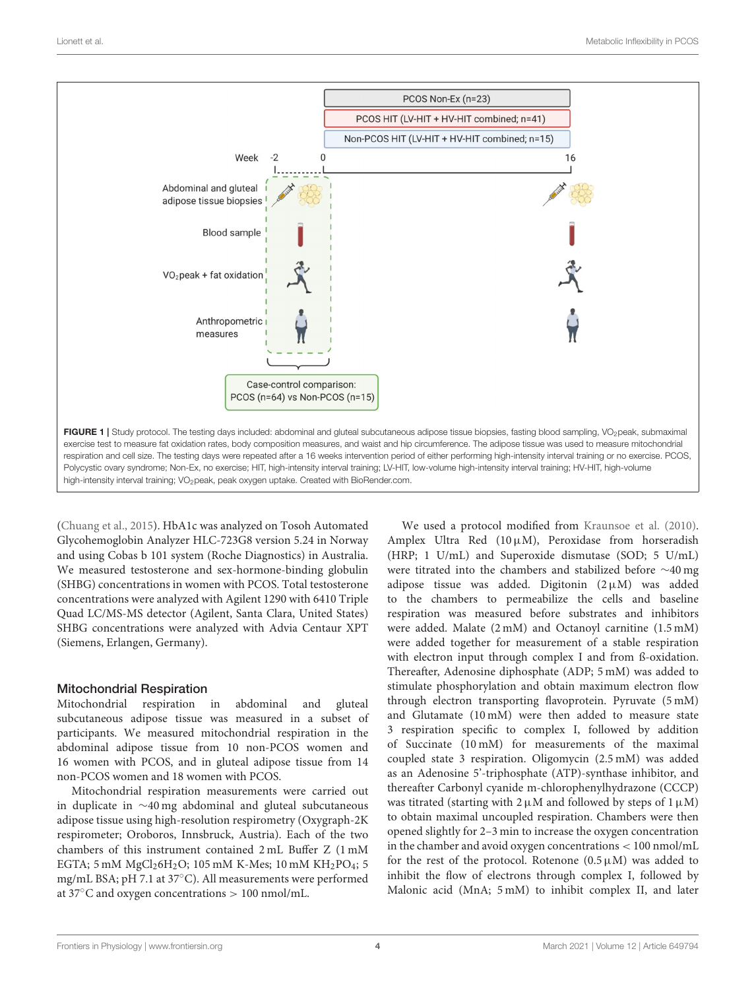

<span id="page-3-0"></span>[\(Chuang et al., 2015\)](#page-11-18). HbA1c was analyzed on Tosoh Automated Glycohemoglobin Analyzer HLC-723G8 version 5.24 in Norway and using Cobas b 101 system (Roche Diagnostics) in Australia. We measured testosterone and sex-hormone-binding globulin (SHBG) concentrations in women with PCOS. Total testosterone concentrations were analyzed with Agilent 1290 with 6410 Triple Quad LC/MS-MS detector (Agilent, Santa Clara, United States) SHBG concentrations were analyzed with Advia Centaur XPT (Siemens, Erlangen, Germany).

### Mitochondrial Respiration

Mitochondrial respiration in abdominal and gluteal subcutaneous adipose tissue was measured in a subset of participants. We measured mitochondrial respiration in the abdominal adipose tissue from 10 non-PCOS women and 16 women with PCOS, and in gluteal adipose tissue from 14 non-PCOS women and 18 women with PCOS.

Mitochondrial respiration measurements were carried out in duplicate in ∼40 mg abdominal and gluteal subcutaneous adipose tissue using high-resolution respirometry (Oxygraph-2K respirometer; Oroboros, Innsbruck, Austria). Each of the two chambers of this instrument contained 2 mL Buffer Z (1 mM EGTA; 5 mM  $MgCl<sub>2</sub>6H<sub>2</sub>O$ ; 105 mM K-Mes; 10 mM KH<sub>2</sub>PO<sub>4</sub>; 5 mg/mL BSA; pH 7.1 at 37◦C). All measurements were performed at 37◦C and oxygen concentrations > 100 nmol/mL.

We used a protocol modified from [Kraunsoe et al. \(2010\)](#page-11-19). Amplex Ultra Red  $(10 \mu M)$ , Peroxidase from horseradish (HRP; 1 U/mL) and Superoxide dismutase (SOD; 5 U/mL) were titrated into the chambers and stabilized before ∼40 mg adipose tissue was added. Digitonin  $(2 \mu M)$  was added to the chambers to permeabilize the cells and baseline respiration was measured before substrates and inhibitors were added. Malate (2 mM) and Octanoyl carnitine (1.5 mM) were added together for measurement of a stable respiration with electron input through complex I and from ß-oxidation. Thereafter, Adenosine diphosphate (ADP; 5 mM) was added to stimulate phosphorylation and obtain maximum electron flow through electron transporting flavoprotein. Pyruvate (5 mM) and Glutamate (10 mM) were then added to measure state 3 respiration specific to complex I, followed by addition of Succinate (10 mM) for measurements of the maximal coupled state 3 respiration. Oligomycin (2.5 mM) was added as an Adenosine 5'-triphosphate (ATP)-synthase inhibitor, and thereafter Carbonyl cyanide m-chlorophenylhydrazone (CCCP) was titrated (starting with  $2 \mu M$  and followed by steps of  $1 \mu M$ ) to obtain maximal uncoupled respiration. Chambers were then opened slightly for 2–3 min to increase the oxygen concentration in the chamber and avoid oxygen concentrations < 100 nmol/mL for the rest of the protocol. Rotenone  $(0.5 \mu M)$  was added to inhibit the flow of electrons through complex I, followed by Malonic acid (MnA; 5 mM) to inhibit complex II, and later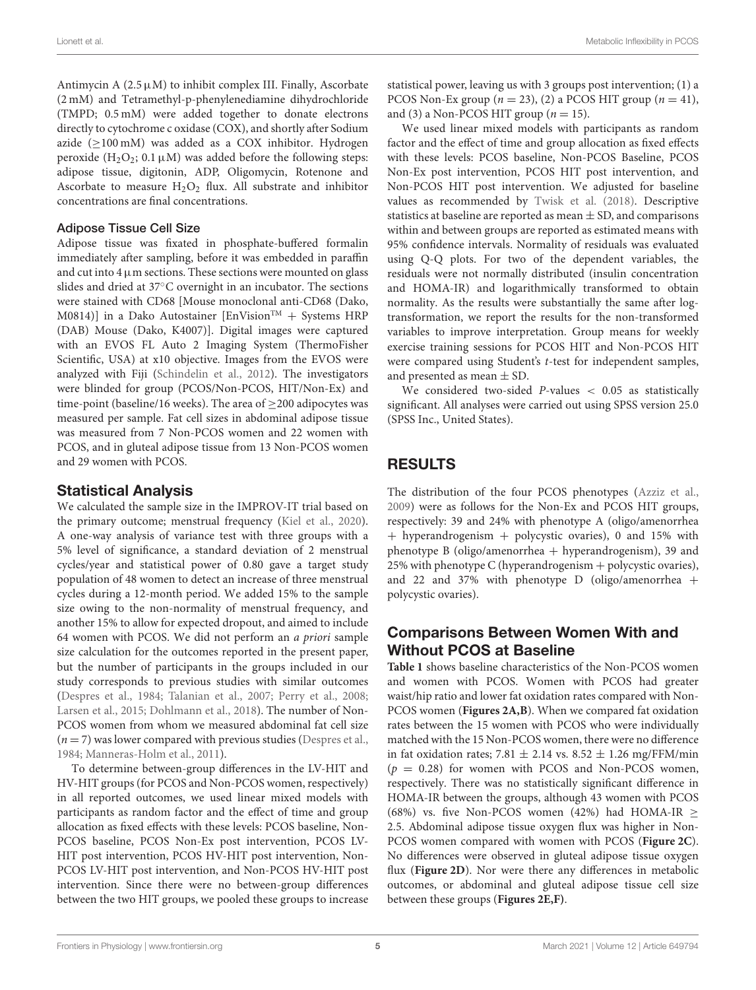Antimycin A  $(2.5 \mu M)$  to inhibit complex III. Finally, Ascorbate (2 mM) and Tetramethyl-p-phenylenediamine dihydrochloride (TMPD; 0.5 mM) were added together to donate electrons directly to cytochrome c oxidase (COX), and shortly after Sodium azide  $(≥100 \text{ mM})$  was added as a COX inhibitor. Hydrogen peroxide  $(H_2O_2; 0.1 \mu M)$  was added before the following steps: adipose tissue, digitonin, ADP, Oligomycin, Rotenone and Ascorbate to measure  $H_2O_2$  flux. All substrate and inhibitor concentrations are final concentrations.

#### Adipose Tissue Cell Size

Adipose tissue was fixated in phosphate-buffered formalin immediately after sampling, before it was embedded in paraffin and cut into  $4 \mu$ m sections. These sections were mounted on glass slides and dried at 37◦C overnight in an incubator. The sections were stained with CD68 [Mouse monoclonal anti-CD68 (Dako, M0814)] in a Dako Autostainer [EnVision<sup>TM</sup> + Systems HRP (DAB) Mouse (Dako, K4007)]. Digital images were captured with an EVOS FL Auto 2 Imaging System (ThermoFisher Scientific, USA) at x10 objective. Images from the EVOS were analyzed with Fiji [\(Schindelin et al., 2012\)](#page-11-20). The investigators were blinded for group (PCOS/Non-PCOS, HIT/Non-Ex) and time-point (baseline/16 weeks). The area of  $\geq$ 200 adipocytes was measured per sample. Fat cell sizes in abdominal adipose tissue was measured from 7 Non-PCOS women and 22 women with PCOS, and in gluteal adipose tissue from 13 Non-PCOS women and 29 women with PCOS.

# Statistical Analysis

We calculated the sample size in the IMPROV-IT trial based on the primary outcome; menstrual frequency [\(Kiel et al., 2020\)](#page-11-12). A one-way analysis of variance test with three groups with a 5% level of significance, a standard deviation of 2 menstrual cycles/year and statistical power of 0.80 gave a target study population of 48 women to detect an increase of three menstrual cycles during a 12-month period. We added 15% to the sample size owing to the non-normality of menstrual frequency, and another 15% to allow for expected dropout, and aimed to include 64 women with PCOS. We did not perform an a priori sample size calculation for the outcomes reported in the present paper, but the number of participants in the groups included in our study corresponds to previous studies with similar outcomes [\(Despres et al., 1984;](#page-11-21) [Talanian et al., 2007;](#page-11-22) [Perry et al., 2008;](#page-11-23) [Larsen et al., 2015;](#page-11-24) [Dohlmann et al., 2018\)](#page-11-25). The number of Non-PCOS women from whom we measured abdominal fat cell size  $(n = 7)$  was lower compared with previous studies [\(Despres et al.,](#page-11-21) [1984;](#page-11-21) [Manneras-Holm et al., 2011\)](#page-11-8).

To determine between-group differences in the LV-HIT and HV-HIT groups (for PCOS and Non-PCOS women, respectively) in all reported outcomes, we used linear mixed models with participants as random factor and the effect of time and group allocation as fixed effects with these levels: PCOS baseline, Non-PCOS baseline, PCOS Non-Ex post intervention, PCOS LV-HIT post intervention, PCOS HV-HIT post intervention, Non-PCOS LV-HIT post intervention, and Non-PCOS HV-HIT post intervention. Since there were no between-group differences between the two HIT groups, we pooled these groups to increase statistical power, leaving us with 3 groups post intervention; (1) a PCOS Non-Ex group  $(n = 23)$ , (2) a PCOS HIT group  $(n = 41)$ , and (3) a Non-PCOS HIT group ( $n = 15$ ).

We used linear mixed models with participants as random factor and the effect of time and group allocation as fixed effects with these levels: PCOS baseline, Non-PCOS Baseline, PCOS Non-Ex post intervention, PCOS HIT post intervention, and Non-PCOS HIT post intervention. We adjusted for baseline values as recommended by [Twisk et al. \(2018\)](#page-12-1). Descriptive statistics at baseline are reported as mean  $\pm$  SD, and comparisons within and between groups are reported as estimated means with 95% confidence intervals. Normality of residuals was evaluated using Q-Q plots. For two of the dependent variables, the residuals were not normally distributed (insulin concentration and HOMA-IR) and logarithmically transformed to obtain normality. As the results were substantially the same after logtransformation, we report the results for the non-transformed variables to improve interpretation. Group means for weekly exercise training sessions for PCOS HIT and Non-PCOS HIT were compared using Student's t-test for independent samples, and presented as mean  $\pm$  SD.

We considered two-sided  $P$ -values  $<$  0.05 as statistically significant. All analyses were carried out using SPSS version 25.0 (SPSS Inc., United States).

# RESULTS

The distribution of the four PCOS phenotypes [\(Azziz et al.,](#page-10-0) [2009\)](#page-10-0) were as follows for the Non-Ex and PCOS HIT groups, respectively: 39 and 24% with phenotype A (oligo/amenorrhea + hyperandrogenism + polycystic ovaries), 0 and 15% with phenotype B (oligo/amenorrhea  $+$  hyperandrogenism), 39 and 25% with phenotype C (hyperandrogenism + polycystic ovaries), and 22 and 37% with phenotype D (oligo/amenorrhea  $+$ polycystic ovaries).

# Comparisons Between Women With and Without PCOS at Baseline

**[Table 1](#page-5-0)** shows baseline characteristics of the Non-PCOS women and women with PCOS. Women with PCOS had greater waist/hip ratio and lower fat oxidation rates compared with Non-PCOS women (**[Figures 2A,B](#page-6-0)**). When we compared fat oxidation rates between the 15 women with PCOS who were individually matched with the 15 Non-PCOS women, there were no difference in fat oxidation rates; 7.81  $\pm$  2.14 vs. 8.52  $\pm$  1.26 mg/FFM/min  $(p = 0.28)$  for women with PCOS and Non-PCOS women, respectively. There was no statistically significant difference in HOMA-IR between the groups, although 43 women with PCOS (68%) vs. five Non-PCOS women (42%) had HOMA-IR  $\ge$ 2.5. Abdominal adipose tissue oxygen flux was higher in Non-PCOS women compared with women with PCOS (**[Figure 2C](#page-6-0)**). No differences were observed in gluteal adipose tissue oxygen flux (**[Figure 2D](#page-6-0)**). Nor were there any differences in metabolic outcomes, or abdominal and gluteal adipose tissue cell size between these groups (**[Figures 2E,F\)](#page-6-0)**.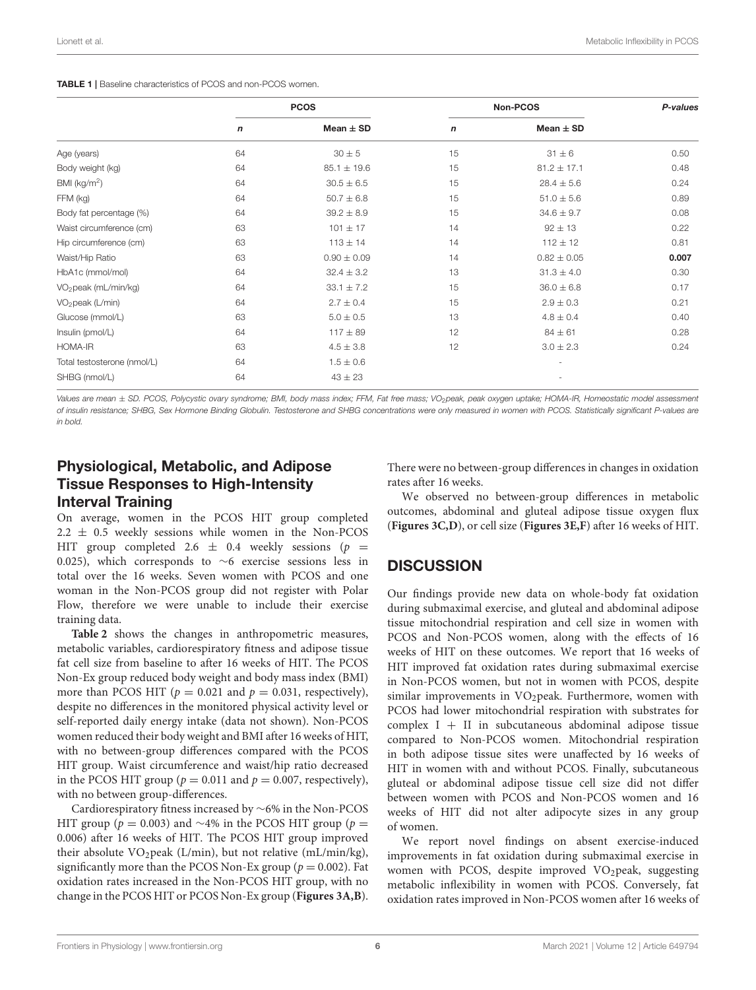<span id="page-5-0"></span>

|                                  |             | <b>PCOS</b>     |             | Non-PCOS        |       |  |
|----------------------------------|-------------|-----------------|-------------|-----------------|-------|--|
|                                  | $\mathbf n$ | Mean $\pm$ SD   | $\mathbf n$ | Mean $\pm$ SD   |       |  |
| Age (years)                      | 64          | $30 \pm 5$      | 15          | $31 \pm 6$      | 0.50  |  |
| Body weight (kg)                 | 64          | $85.1 \pm 19.6$ | 15          | $81.2 \pm 17.1$ | 0.48  |  |
| BMI ( $kg/m2$ )                  | 64          | $30.5 \pm 6.5$  | 15          | $28.4 \pm 5.6$  | 0.24  |  |
| FFM (kg)                         | 64          | $50.7 \pm 6.8$  | 15          | $51.0 \pm 5.6$  | 0.89  |  |
| Body fat percentage (%)          | 64          | $39.2 \pm 8.9$  | 15          | $34.6 \pm 9.7$  | 0.08  |  |
| Waist circumference (cm)         | 63          | $101 \pm 17$    | 14          | $92 \pm 13$     | 0.22  |  |
| Hip circumference (cm)           | 63          | $113 \pm 14$    | 14          | $112 \pm 12$    | 0.81  |  |
| Waist/Hip Ratio                  | 63          | $0.90 \pm 0.09$ | 14          | $0.82 \pm 0.05$ | 0.007 |  |
| HbA1c (mmol/mol)                 | 64          | $32.4 \pm 3.2$  | 13          | $31.3 \pm 4.0$  | 0.30  |  |
| VO <sub>2</sub> peak (mL/min/kg) | 64          | $33.1 \pm 7.2$  | 15          | $36.0 \pm 6.8$  | 0.17  |  |
| VO <sub>2</sub> peak (L/min)     | 64          | $2.7 \pm 0.4$   | 15          | $2.9 \pm 0.3$   | 0.21  |  |
| Glucose (mmol/L)                 | 63          | $5.0 \pm 0.5$   | 13          | $4.8 \pm 0.4$   | 0.40  |  |
| Insulin (pmol/L)                 | 64          | $117 \pm 89$    | 12          | $84 \pm 61$     | 0.28  |  |
| HOMA-IR                          | 63          | $4.5 \pm 3.8$   | 12          | $3.0 \pm 2.3$   | 0.24  |  |
| Total testosterone (nmol/L)      | 64          | $1.5 \pm 0.6$   |             | ٠               |       |  |
| SHBG (nmol/L)                    | 64          | $43 \pm 23$     |             |                 |       |  |

Values are mean ± SD. PCOS, Polycystic ovary syndrome; BMI, body mass index; FFM, Fat free mass; VO<sub>2</sub>peak, peak oxygen uptake; HOMA-IR, Homeostatic model assessment *of insulin resistance; SHBG, Sex Hormone Binding Globulin. Testosterone and SHBG concentrations were only measured in women with PCOS. Statistically significant P-values are in bold.*

# Physiological, Metabolic, and Adipose Tissue Responses to High-Intensity Interval Training

On average, women in the PCOS HIT group completed  $2.2 \pm 0.5$  weekly sessions while women in the Non-PCOS HIT group completed 2.6  $\pm$  0.4 weekly sessions (p = 0.025), which corresponds to ∼6 exercise sessions less in total over the 16 weeks. Seven women with PCOS and one woman in the Non-PCOS group did not register with Polar Flow, therefore we were unable to include their exercise training data.

**[Table 2](#page-7-0)** shows the changes in anthropometric measures, metabolic variables, cardiorespiratory fitness and adipose tissue fat cell size from baseline to after 16 weeks of HIT. The PCOS Non-Ex group reduced body weight and body mass index (BMI) more than PCOS HIT ( $p = 0.021$  and  $p = 0.031$ , respectively), despite no differences in the monitored physical activity level or self-reported daily energy intake (data not shown). Non-PCOS women reduced their body weight and BMI after 16 weeks of HIT, with no between-group differences compared with the PCOS HIT group. Waist circumference and waist/hip ratio decreased in the PCOS HIT group ( $p = 0.011$  and  $p = 0.007$ , respectively), with no between group-differences.

Cardiorespiratory fitness increased by ∼6% in the Non-PCOS HIT group ( $p = 0.003$ ) and ~4% in the PCOS HIT group ( $p =$ 0.006) after 16 weeks of HIT. The PCOS HIT group improved their absolute VO<sub>2</sub>peak (L/min), but not relative (mL/min/kg), significantly more than the PCOS Non-Ex group ( $p = 0.002$ ). Fat oxidation rates increased in the Non-PCOS HIT group, with no change in the PCOS HIT or PCOS Non-Ex group (**[Figures 3A,B](#page-8-0)**). There were no between-group differences in changes in oxidation rates after 16 weeks.

We observed no between-group differences in metabolic outcomes, abdominal and gluteal adipose tissue oxygen flux (**[Figures 3C,D](#page-8-0)**), or cell size (**[Figures 3E,F](#page-8-0)**) after 16 weeks of HIT.

# **DISCUSSION**

Our findings provide new data on whole-body fat oxidation during submaximal exercise, and gluteal and abdominal adipose tissue mitochondrial respiration and cell size in women with PCOS and Non-PCOS women, along with the effects of 16 weeks of HIT on these outcomes. We report that 16 weeks of HIT improved fat oxidation rates during submaximal exercise in Non-PCOS women, but not in women with PCOS, despite similar improvements in  $VO<sub>2</sub>peak$ . Furthermore, women with PCOS had lower mitochondrial respiration with substrates for complex  $I + II$  in subcutaneous abdominal adipose tissue compared to Non-PCOS women. Mitochondrial respiration in both adipose tissue sites were unaffected by 16 weeks of HIT in women with and without PCOS. Finally, subcutaneous gluteal or abdominal adipose tissue cell size did not differ between women with PCOS and Non-PCOS women and 16 weeks of HIT did not alter adipocyte sizes in any group of women.

We report novel findings on absent exercise-induced improvements in fat oxidation during submaximal exercise in women with PCOS, despite improved  $VO<sub>2</sub>peak$ , suggesting metabolic inflexibility in women with PCOS. Conversely, fat oxidation rates improved in Non-PCOS women after 16 weeks of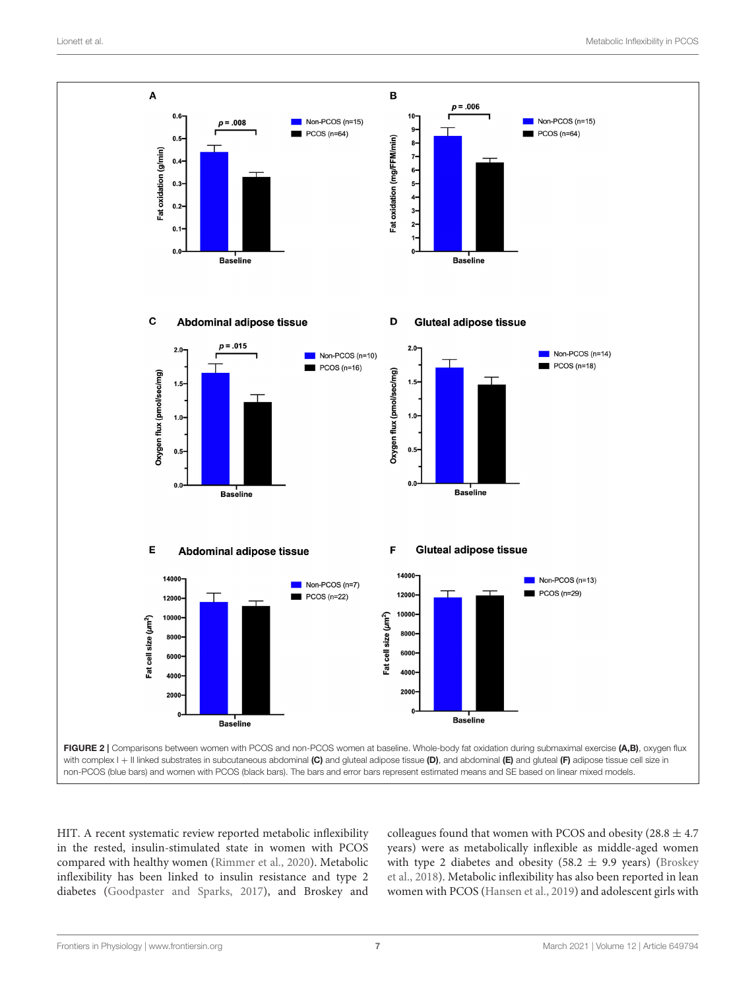

<span id="page-6-0"></span>HIT. A recent systematic review reported metabolic inflexibility in the rested, insulin-stimulated state in women with PCOS compared with healthy women [\(Rimmer et al., 2020\)](#page-11-6). Metabolic inflexibility has been linked to insulin resistance and type 2 diabetes [\(Goodpaster and Sparks, 2017\)](#page-11-5), and Broskey and

colleagues found that women with PCOS and obesity (28.8  $\pm$  4.7) years) were as metabolically inflexible as middle-aged women with type 2 diabetes and obesity (58.2  $\pm$  9.9 years) (Broskey et al., [2018\)](#page-11-26). Metabolic inflexibility has also been reported in lean women with PCOS [\(Hansen et al., 2019\)](#page-11-27) and adolescent girls with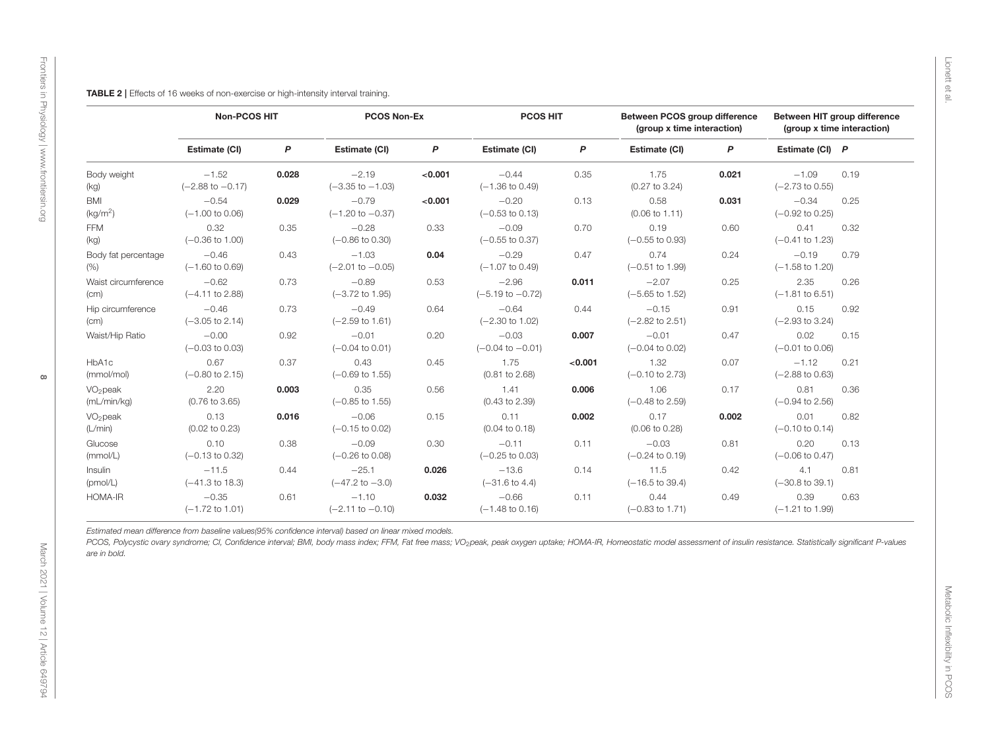<span id="page-7-0"></span>

| Estimate (CI)<br>$-1.52$<br>$(-2.88 \text{ to } -0.17)$<br>$-0.54$<br>$(-1.00 \text{ to } 0.06)$<br>0.32<br>$(-0.36 \text{ to } 1.00)$<br>$-0.46$<br>$(-1.60 \text{ to } 0.69)$ | $\mathsf{P}$<br>0.028<br>0.029<br>0.35 | Estimate (CI)<br>$-2.19$<br>$(-3.35 \text{ to } -1.03)$<br>$-0.79$<br>$(-1.20 \text{ to } -0.37)$ | P<br>< 0.001<br>< 0.001 | Estimate (CI)<br>$-0.44$<br>$(-1.36 \text{ to } 0.49)$<br>$-0.20$                                     | P<br>0.35                  | Estimate (CI)<br>1.75<br>$(0.27 \text{ to } 3.24)$ | P<br>0.021                 | Estimate (CI) P<br>$-1.09$<br>$(-2.73 \text{ to } 0.55)$ | 0.19                                                                                                                                                                                                                                                           |
|---------------------------------------------------------------------------------------------------------------------------------------------------------------------------------|----------------------------------------|---------------------------------------------------------------------------------------------------|-------------------------|-------------------------------------------------------------------------------------------------------|----------------------------|----------------------------------------------------|----------------------------|----------------------------------------------------------|----------------------------------------------------------------------------------------------------------------------------------------------------------------------------------------------------------------------------------------------------------------|
|                                                                                                                                                                                 |                                        |                                                                                                   |                         |                                                                                                       |                            |                                                    |                            |                                                          |                                                                                                                                                                                                                                                                |
|                                                                                                                                                                                 |                                        |                                                                                                   |                         |                                                                                                       |                            |                                                    |                            |                                                          |                                                                                                                                                                                                                                                                |
|                                                                                                                                                                                 |                                        |                                                                                                   |                         | $(-0.53 \text{ to } 0.13)$                                                                            | 0.13                       | 0.58<br>$(0.06 \text{ to } 1.11)$                  | 0.031                      | $-0.34$<br>$(-0.92 \text{ to } 0.25)$                    | 0.25                                                                                                                                                                                                                                                           |
|                                                                                                                                                                                 |                                        | $-0.28$<br>$(-0.86 \text{ to } 0.30)$                                                             | 0.33                    | $-0.09$<br>$(-0.55 \text{ to } 0.37)$                                                                 | 0.70                       | 0.19<br>$(-0.55$ to 0.93)                          | 0.60                       | 0.41<br>$(-0.41 \text{ to } 1.23)$                       | 0.32                                                                                                                                                                                                                                                           |
|                                                                                                                                                                                 | 0.43                                   | $-1.03$<br>$(-2.01$ to $-0.05)$                                                                   | 0.04                    | $-0.29$<br>$(-1.07 \text{ to } 0.49)$                                                                 | 0.47                       | 0.74<br>$(-0.51$ to 1.99)                          | 0.24                       | $-0.19$<br>$(-1.58 \text{ to } 1.20)$                    | 0.79                                                                                                                                                                                                                                                           |
| $-0.62$<br>$(-4.11$ to 2.88)                                                                                                                                                    | 0.73                                   | $-0.89$<br>$(-3.72 \text{ to } 1.95)$                                                             | 0.53                    | $-2.96$<br>$(-5.19 \text{ to } -0.72)$                                                                | 0.011                      | $-2.07$<br>$(-5.65 \text{ to } 1.52)$              | 0.25                       | 2.35<br>$(-1.81 \text{ to } 6.51)$                       | 0.26                                                                                                                                                                                                                                                           |
| $-0.46$<br>$(-3.05 \text{ to } 2.14)$                                                                                                                                           | 0.73                                   | $-0.49$<br>$(-2.59 \text{ to } 1.61)$                                                             | 0.64                    | $-0.64$<br>$(-2.30 \text{ to } 1.02)$                                                                 | 0.44                       | $-0.15$<br>$(-2.82 \text{ to } 2.51)$              | 0.91                       | 0.15<br>$(-2.93 \text{ to } 3.24)$                       | 0.92                                                                                                                                                                                                                                                           |
| $-0.00$<br>$(-0.03 \text{ to } 0.03)$                                                                                                                                           | 0.92                                   | $-0.01$<br>$(-0.04 \text{ to } 0.01)$                                                             | 0.20                    | $-0.03$<br>$(-0.04 \text{ to } -0.01)$                                                                | 0.007                      | $-0.01$<br>$(-0.04 \text{ to } 0.02)$              | 0.47                       | 0.02<br>$(-0.01 \text{ to } 0.06)$                       | 0.15                                                                                                                                                                                                                                                           |
| 0.67<br>$(-0.80 \text{ to } 2.15)$                                                                                                                                              | 0.37                                   | 0.43<br>$(-0.69 \text{ to } 1.55)$                                                                | 0.45                    | 1.75<br>$(0.81$ to $2.68)$                                                                            | < 0.001                    | 1.32<br>$(-0.10 \text{ to } 2.73)$                 | 0.07                       | $-1.12$<br>$(-2.88 \text{ to } 0.63)$                    | 0.21                                                                                                                                                                                                                                                           |
| 2.20<br>$(0.76 \text{ to } 3.65)$                                                                                                                                               | 0.003                                  | 0.35<br>$(-0.85 \text{ to } 1.55)$                                                                | 0.56                    | 1.41<br>$(0.43 \text{ to } 2.39)$                                                                     | 0.006                      | 1.06<br>$(-0.48 \text{ to } 2.59)$                 | 0.17                       | 0.81<br>$(-0.94 \text{ to } 2.56)$                       | 0.36                                                                                                                                                                                                                                                           |
| 0.13<br>$(0.02 \text{ to } 0.23)$                                                                                                                                               | 0.016                                  | $-0.06$<br>$(-0.15 \text{ to } 0.02)$                                                             | 0.15                    | 0.11<br>$(0.04 \text{ to } 0.18)$                                                                     | 0.002                      | 0.17<br>$(0.06 \text{ to } 0.28)$                  | 0.002                      | 0.01<br>$(-0.10 \text{ to } 0.14)$                       | 0.82                                                                                                                                                                                                                                                           |
| 0.10<br>$(-0.13 \text{ to } 0.32)$                                                                                                                                              | 0.38                                   | $-0.09$<br>$(-0.26 \text{ to } 0.08)$                                                             | 0.30                    | $-0.11$<br>$(-0.25 \text{ to } 0.03)$                                                                 | 0.11                       | $-0.03$<br>$(-0.24 \text{ to } 0.19)$              | 0.81                       | 0.20<br>$(-0.06 \text{ to } 0.47)$                       | 0.13                                                                                                                                                                                                                                                           |
| $-11.5$<br>$(-41.3 \text{ to } 18.3)$                                                                                                                                           | 0.44                                   | $-25.1$<br>$(-47.2 \text{ to } -3.0)$                                                             | 0.026                   | $-13.6$<br>$(-31.6 \text{ to } 4.4)$                                                                  | 0.14                       | 11.5<br>$(-16.5 \text{ to } 39.4)$                 | 0.42                       | 4.1<br>$(-30.8 \text{ to } 39.1)$                        | 0.81                                                                                                                                                                                                                                                           |
| $-0.35$<br>$(-1.72 \text{ to } 1.01)$                                                                                                                                           | 0.61                                   | $-1.10$                                                                                           | 0.032                   | $-0.66$                                                                                               | 0.11                       | 0.44                                               | 0.49                       | 0.39                                                     | 0.63                                                                                                                                                                                                                                                           |
|                                                                                                                                                                                 |                                        |                                                                                                   | $(-2.11$ to $-0.10)$    | Estimated mean difference from baseline values(95% confidence interval) based on linear mixed models. | $(-1.48 \text{ to } 0.16)$ |                                                    | $(-0.83 \text{ to } 1.71)$ |                                                          | $(-1.21$ to 1.99)<br>PCOS, Polycystic ovary syndrome; CI, Confidence interval; BMI, body mass index; FFM, Fat free mass; VO <sub>2</sub> peak, peak oxygen uptake; HOMA-IR, Homeostatic model assessment of insulin resistance. Statistically significant P-va |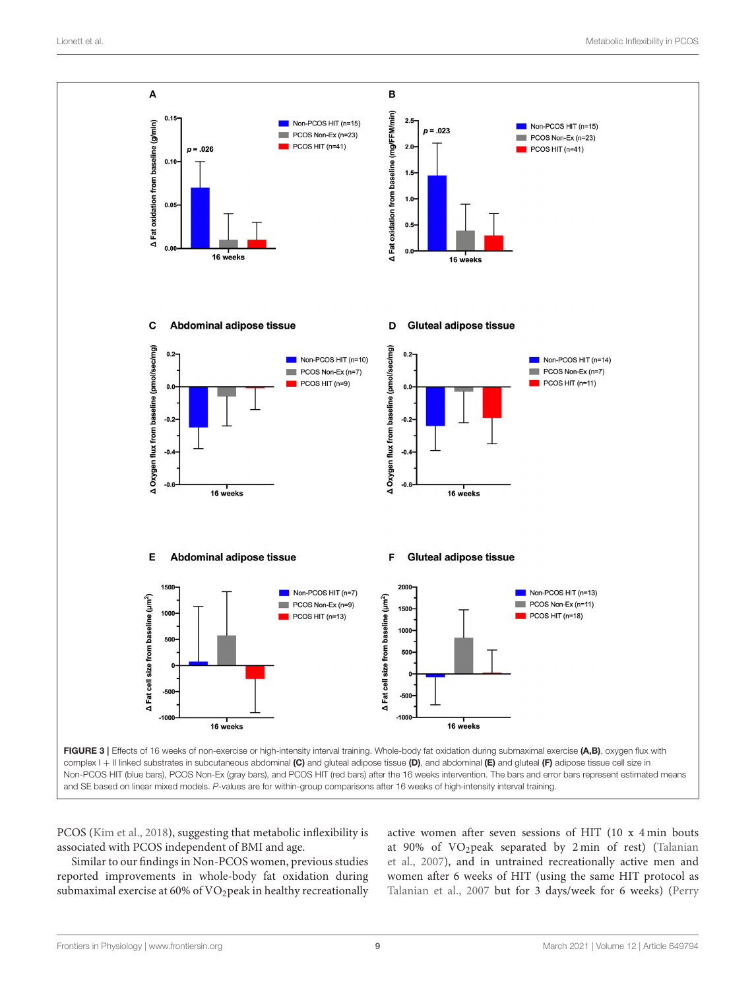

<span id="page-8-0"></span>PCOS [\(Kim et al., 2018\)](#page-11-28), suggesting that metabolic inflexibility is associated with PCOS independent of BMI and age.

Similar to our findings in Non-PCOS women, previous studies reported improvements in whole-body fat oxidation during submaximal exercise at 60% of VO<sub>2</sub>peak in healthy recreationally active women after seven sessions of HIT (10 x 4 min bouts at 90% of VO2peak separated by 2 min of rest) (Talanian et al., [2007\)](#page-11-22), and in untrained recreationally active men and women after 6 weeks of HIT (using the same HIT protocol as [Talanian et al., 2007](#page-11-22) but for 3 days/week for 6 weeks) (Perry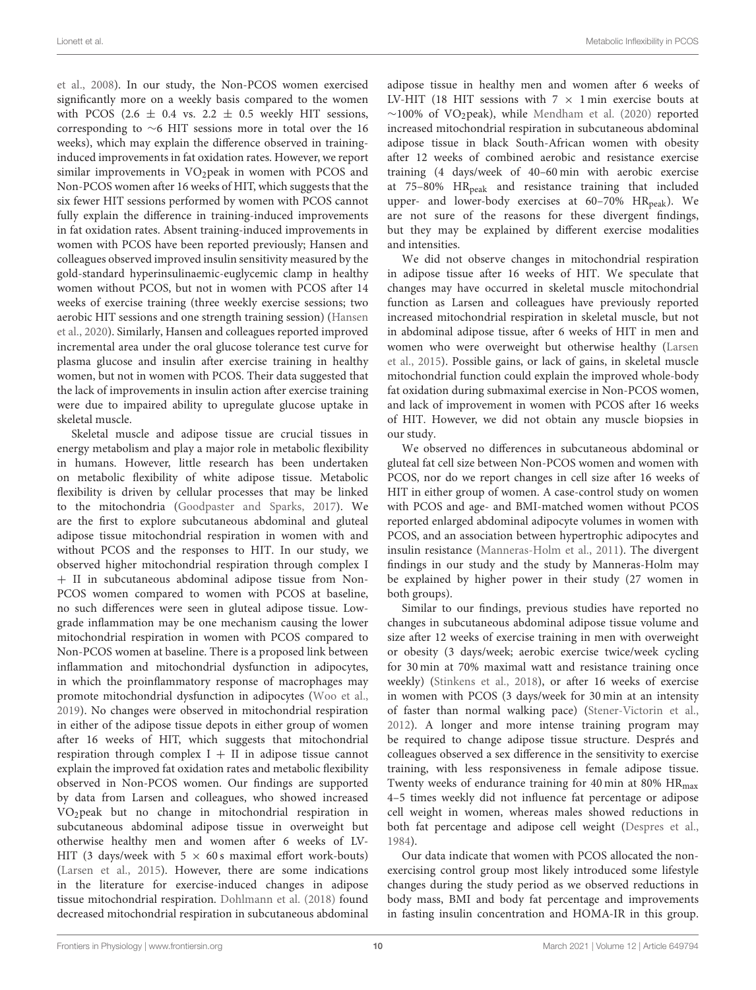et al., [2008\)](#page-11-23). In our study, the Non-PCOS women exercised significantly more on a weekly basis compared to the women with PCOS (2.6  $\pm$  0.4 vs. 2.2  $\pm$  0.5 weekly HIT sessions, corresponding to ∼6 HIT sessions more in total over the 16 weeks), which may explain the difference observed in traininginduced improvements in fat oxidation rates. However, we report similar improvements in VO<sub>2</sub>peak in women with PCOS and Non-PCOS women after 16 weeks of HIT, which suggests that the six fewer HIT sessions performed by women with PCOS cannot fully explain the difference in training-induced improvements in fat oxidation rates. Absent training-induced improvements in women with PCOS have been reported previously; Hansen and colleagues observed improved insulin sensitivity measured by the gold-standard hyperinsulinaemic-euglycemic clamp in healthy women without PCOS, but not in women with PCOS after 14 weeks of exercise training (three weekly exercise sessions; two aerobic HIT sessions and one strength training session) (Hansen et al., [2020\)](#page-11-29). Similarly, Hansen and colleagues reported improved incremental area under the oral glucose tolerance test curve for plasma glucose and insulin after exercise training in healthy women, but not in women with PCOS. Their data suggested that the lack of improvements in insulin action after exercise training were due to impaired ability to upregulate glucose uptake in skeletal muscle.

Skeletal muscle and adipose tissue are crucial tissues in energy metabolism and play a major role in metabolic flexibility in humans. However, little research has been undertaken on metabolic flexibility of white adipose tissue. Metabolic flexibility is driven by cellular processes that may be linked to the mitochondria [\(Goodpaster and Sparks, 2017\)](#page-11-5). We are the first to explore subcutaneous abdominal and gluteal adipose tissue mitochondrial respiration in women with and without PCOS and the responses to HIT. In our study, we observed higher mitochondrial respiration through complex I + II in subcutaneous abdominal adipose tissue from Non-PCOS women compared to women with PCOS at baseline, no such differences were seen in gluteal adipose tissue. Lowgrade inflammation may be one mechanism causing the lower mitochondrial respiration in women with PCOS compared to Non-PCOS women at baseline. There is a proposed link between inflammation and mitochondrial dysfunction in adipocytes, in which the proinflammatory response of macrophages may promote mitochondrial dysfunction in adipocytes [\(Woo et al.,](#page-12-2) [2019\)](#page-12-2). No changes were observed in mitochondrial respiration in either of the adipose tissue depots in either group of women after 16 weeks of HIT, which suggests that mitochondrial respiration through complex  $I + II$  in adipose tissue cannot explain the improved fat oxidation rates and metabolic flexibility observed in Non-PCOS women. Our findings are supported by data from Larsen and colleagues, who showed increased VO2peak but no change in mitochondrial respiration in subcutaneous abdominal adipose tissue in overweight but otherwise healthy men and women after 6 weeks of LV-HIT (3 days/week with  $5 \times 60$  s maximal effort work-bouts) [\(Larsen et al., 2015\)](#page-11-24). However, there are some indications in the literature for exercise-induced changes in adipose tissue mitochondrial respiration. [Dohlmann et al. \(2018\)](#page-11-25) found decreased mitochondrial respiration in subcutaneous abdominal adipose tissue in healthy men and women after 6 weeks of LV-HIT (18 HIT sessions with  $7 \times 1$  min exercise bouts at  $∼100\%$  of VO<sub>2</sub>peak), while [Mendham et al. \(2020\)](#page-11-30) reported increased mitochondrial respiration in subcutaneous abdominal adipose tissue in black South-African women with obesity after 12 weeks of combined aerobic and resistance exercise training (4 days/week of 40–60 min with aerobic exercise at  $75-80\%$   $HR_{peak}$  and resistance training that included upper- and lower-body exercises at  $60-70\%$  HR<sub>peak</sub>). We are not sure of the reasons for these divergent findings, but they may be explained by different exercise modalities and intensities.

We did not observe changes in mitochondrial respiration in adipose tissue after 16 weeks of HIT. We speculate that changes may have occurred in skeletal muscle mitochondrial function as Larsen and colleagues have previously reported increased mitochondrial respiration in skeletal muscle, but not in abdominal adipose tissue, after 6 weeks of HIT in men and women who were overweight but otherwise healthy (Larsen et al., [2015\)](#page-11-24). Possible gains, or lack of gains, in skeletal muscle mitochondrial function could explain the improved whole-body fat oxidation during submaximal exercise in Non-PCOS women, and lack of improvement in women with PCOS after 16 weeks of HIT. However, we did not obtain any muscle biopsies in our study.

We observed no differences in subcutaneous abdominal or gluteal fat cell size between Non-PCOS women and women with PCOS, nor do we report changes in cell size after 16 weeks of HIT in either group of women. A case-control study on women with PCOS and age- and BMI-matched women without PCOS reported enlarged abdominal adipocyte volumes in women with PCOS, and an association between hypertrophic adipocytes and insulin resistance [\(Manneras-Holm et al., 2011\)](#page-11-8). The divergent findings in our study and the study by Manneras-Holm may be explained by higher power in their study (27 women in both groups).

Similar to our findings, previous studies have reported no changes in subcutaneous abdominal adipose tissue volume and size after 12 weeks of exercise training in men with overweight or obesity (3 days/week; aerobic exercise twice/week cycling for 30 min at 70% maximal watt and resistance training once weekly) [\(Stinkens et al., 2018\)](#page-11-31), or after 16 weeks of exercise in women with PCOS (3 days/week for 30 min at an intensity of faster than normal walking pace) [\(Stener-Victorin et al.,](#page-11-32) [2012\)](#page-11-32). A longer and more intense training program may be required to change adipose tissue structure. Després and colleagues observed a sex difference in the sensitivity to exercise training, with less responsiveness in female adipose tissue. Twenty weeks of endurance training for 40 min at 80% HR<sub>max</sub> 4–5 times weekly did not influence fat percentage or adipose cell weight in women, whereas males showed reductions in both fat percentage and adipose cell weight [\(Despres et al.,](#page-11-21) [1984\)](#page-11-21).

Our data indicate that women with PCOS allocated the nonexercising control group most likely introduced some lifestyle changes during the study period as we observed reductions in body mass, BMI and body fat percentage and improvements in fasting insulin concentration and HOMA-IR in this group.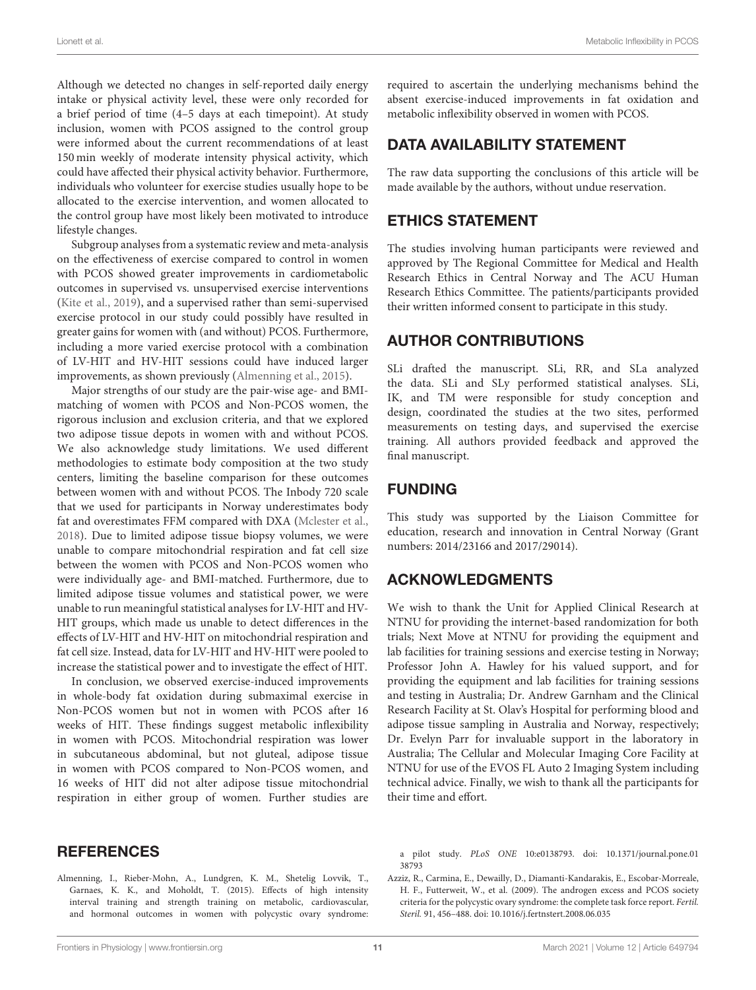Although we detected no changes in self-reported daily energy intake or physical activity level, these were only recorded for a brief period of time (4–5 days at each timepoint). At study inclusion, women with PCOS assigned to the control group were informed about the current recommendations of at least 150 min weekly of moderate intensity physical activity, which could have affected their physical activity behavior. Furthermore, individuals who volunteer for exercise studies usually hope to be allocated to the exercise intervention, and women allocated to the control group have most likely been motivated to introduce lifestyle changes.

Subgroup analyses from a systematic review and meta-analysis on the effectiveness of exercise compared to control in women with PCOS showed greater improvements in cardiometabolic outcomes in supervised vs. unsupervised exercise interventions [\(Kite et al., 2019\)](#page-11-9), and a supervised rather than semi-supervised exercise protocol in our study could possibly have resulted in greater gains for women with (and without) PCOS. Furthermore, including a more varied exercise protocol with a combination of LV-HIT and HV-HIT sessions could have induced larger improvements, as shown previously [\(Almenning et al., 2015\)](#page-10-1).

Major strengths of our study are the pair-wise age- and BMImatching of women with PCOS and Non-PCOS women, the rigorous inclusion and exclusion criteria, and that we explored two adipose tissue depots in women with and without PCOS. We also acknowledge study limitations. We used different methodologies to estimate body composition at the two study centers, limiting the baseline comparison for these outcomes between women with and without PCOS. The Inbody 720 scale that we used for participants in Norway underestimates body fat and overestimates FFM compared with DXA [\(Mclester et al.,](#page-11-33) [2018\)](#page-11-33). Due to limited adipose tissue biopsy volumes, we were unable to compare mitochondrial respiration and fat cell size between the women with PCOS and Non-PCOS women who were individually age- and BMI-matched. Furthermore, due to limited adipose tissue volumes and statistical power, we were unable to run meaningful statistical analyses for LV-HIT and HV-HIT groups, which made us unable to detect differences in the effects of LV-HIT and HV-HIT on mitochondrial respiration and fat cell size. Instead, data for LV-HIT and HV-HIT were pooled to increase the statistical power and to investigate the effect of HIT.

In conclusion, we observed exercise-induced improvements in whole-body fat oxidation during submaximal exercise in Non-PCOS women but not in women with PCOS after 16 weeks of HIT. These findings suggest metabolic inflexibility in women with PCOS. Mitochondrial respiration was lower in subcutaneous abdominal, but not gluteal, adipose tissue in women with PCOS compared to Non-PCOS women, and 16 weeks of HIT did not alter adipose tissue mitochondrial respiration in either group of women. Further studies are required to ascertain the underlying mechanisms behind the absent exercise-induced improvements in fat oxidation and metabolic inflexibility observed in women with PCOS.

# DATA AVAILABILITY STATEMENT

The raw data supporting the conclusions of this article will be made available by the authors, without undue reservation.

# ETHICS STATEMENT

The studies involving human participants were reviewed and approved by The Regional Committee for Medical and Health Research Ethics in Central Norway and The ACU Human Research Ethics Committee. The patients/participants provided their written informed consent to participate in this study.

# AUTHOR CONTRIBUTIONS

SLi drafted the manuscript. SLi, RR, and SLa analyzed the data. SLi and SLy performed statistical analyses. SLi, IK, and TM were responsible for study conception and design, coordinated the studies at the two sites, performed measurements on testing days, and supervised the exercise training. All authors provided feedback and approved the final manuscript.

# FUNDING

This study was supported by the Liaison Committee for education, research and innovation in Central Norway (Grant numbers: 2014/23166 and 2017/29014).

### ACKNOWLEDGMENTS

We wish to thank the Unit for Applied Clinical Research at NTNU for providing the internet-based randomization for both trials; Next Move at NTNU for providing the equipment and lab facilities for training sessions and exercise testing in Norway; Professor John A. Hawley for his valued support, and for providing the equipment and lab facilities for training sessions and testing in Australia; Dr. Andrew Garnham and the Clinical Research Facility at St. Olav's Hospital for performing blood and adipose tissue sampling in Australia and Norway, respectively; Dr. Evelyn Parr for invaluable support in the laboratory in Australia; The Cellular and Molecular Imaging Core Facility at NTNU for use of the EVOS FL Auto 2 Imaging System including technical advice. Finally, we wish to thank all the participants for their time and effort.

### **REFERENCES**

<span id="page-10-1"></span>Almenning, I., Rieber-Mohn, A., Lundgren, K. M., Shetelig Lovvik, T., Garnaes, K. K., and Moholdt, T. (2015). Effects of high intensity interval training and strength training on metabolic, cardiovascular, and hormonal outcomes in women with polycystic ovary syndrome: a pilot study. PLoS ONE [10:e0138793. doi: 10.1371/journal.pone.01](https://doi.org/10.1371/journal.pone.0138793) 38793

<span id="page-10-0"></span>Azziz, R., Carmina, E., Dewailly, D., Diamanti-Kandarakis, E., Escobar-Morreale, H. F., Futterweit, W., et al. (2009). The androgen excess and PCOS society criteria for the polycystic ovary syndrome: the complete task force report. Fertil. Steril. 91, 456–488. doi: [10.1016/j.fertnstert.2008.06.035](https://doi.org/10.1016/j.fertnstert.2008.06.035)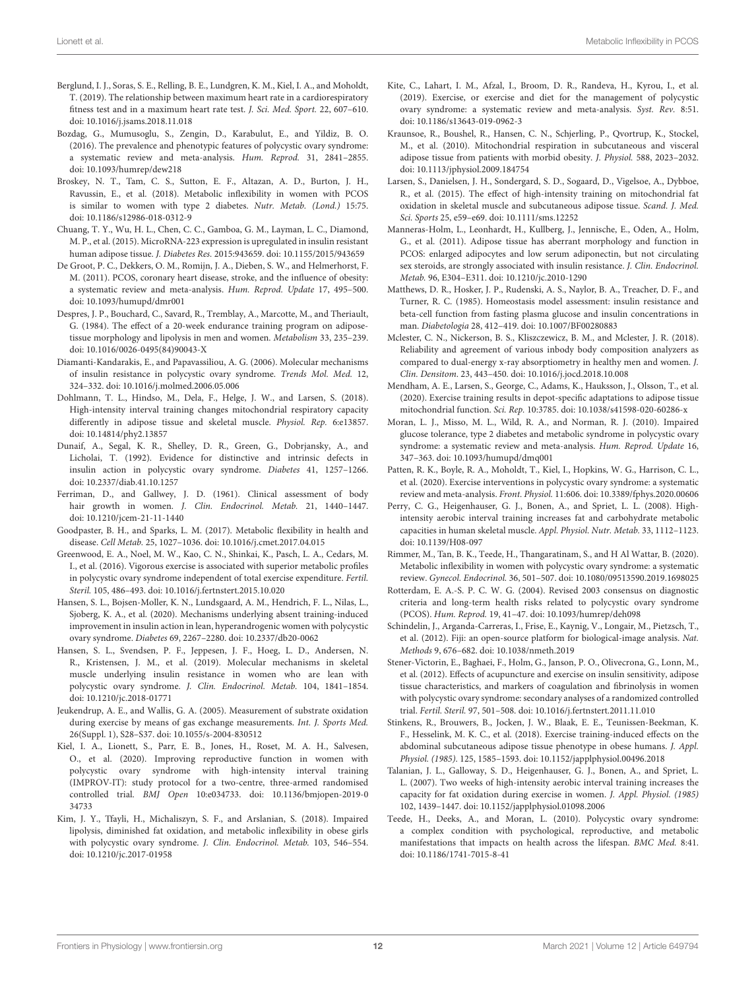- <span id="page-11-15"></span>Berglund, I. J., Soras, S. E., Relling, B. E., Lundgren, K. M., Kiel, I. A., and Moholdt, T. (2019). The relationship between maximum heart rate in a cardiorespiratory fitness test and in a maximum heart rate test. J. Sci. Med. Sport. 22, 607–610. doi: [10.1016/j.jsams.2018.11.018](https://doi.org/10.1016/j.jsams.2018.11.018)
- <span id="page-11-0"></span>Bozdag, G., Mumusoglu, S., Zengin, D., Karabulut, E., and Yildiz, B. O. (2016). The prevalence and phenotypic features of polycystic ovary syndrome: a systematic review and meta-analysis. Hum. Reprod. 31, 2841–2855. doi: [10.1093/humrep/dew218](https://doi.org/10.1093/humrep/dew218)
- <span id="page-11-26"></span>Broskey, N. T., Tam, C. S., Sutton, E. F., Altazan, A. D., Burton, J. H., Ravussin, E., et al. (2018). Metabolic inflexibility in women with PCOS is similar to women with type 2 diabetes. Nutr. Metab. (Lond.) 15:75. doi: [10.1186/s12986-018-0312-9](https://doi.org/10.1186/s12986-018-0312-9)
- <span id="page-11-18"></span>Chuang, T. Y., Wu, H. L., Chen, C. C., Gamboa, G. M., Layman, L. C., Diamond, M. P., et al. (2015). MicroRNA-223 expression is upregulated in insulin resistant human adipose tissue. J. Diabetes Res. 2015:943659. doi: [10.1155/2015/943659](https://doi.org/10.1155/2015/943659)
- <span id="page-11-3"></span>De Groot, P. C., Dekkers, O. M., Romijn, J. A., Dieben, S. W., and Helmerhorst, F. M. (2011). PCOS, coronary heart disease, stroke, and the influence of obesity: a systematic review and meta-analysis. Hum. Reprod. Update 17, 495–500. doi: [10.1093/humupd/dmr001](https://doi.org/10.1093/humupd/dmr001)
- <span id="page-11-21"></span>Despres, J. P., Bouchard, C., Savard, R., Tremblay, A., Marcotte, M., and Theriault, G. (1984). The effect of a 20-week endurance training program on adiposetissue morphology and lipolysis in men and women. Metabolism 33, 235–239. doi: [10.1016/0026-0495\(84\)90043-X](https://doi.org/10.1016/0026-0495(84)90043-X)
- <span id="page-11-4"></span>Diamanti-Kandarakis, E., and Papavassiliou, A. G. (2006). Molecular mechanisms of insulin resistance in polycystic ovary syndrome. Trends Mol. Med. 12, 324–332. doi: [10.1016/j.molmed.2006.05.006](https://doi.org/10.1016/j.molmed.2006.05.006)
- <span id="page-11-25"></span>Dohlmann, T. L., Hindso, M., Dela, F., Helge, J. W., and Larsen, S. (2018). High-intensity interval training changes mitochondrial respiratory capacity differently in adipose tissue and skeletal muscle. Physiol. Rep. 6:e13857. doi: [10.14814/phy2.13857](https://doi.org/10.14814/phy2.13857)
- <span id="page-11-7"></span>Dunaif, A., Segal, K. R., Shelley, D. R., Green, G., Dobrjansky, A., and Licholai, T. (1992). Evidence for distinctive and intrinsic defects in insulin action in polycystic ovary syndrome. Diabetes 41, 1257–1266. doi: [10.2337/diab.41.10.1257](https://doi.org/10.2337/diab.41.10.1257)
- <span id="page-11-14"></span>Ferriman, D., and Gallwey, J. D. (1961). Clinical assessment of body hair growth in women. J. Clin. Endocrinol. Metab. 21, 1440–1447. doi: [10.1210/jcem-21-11-1440](https://doi.org/10.1210/jcem-21-11-1440)
- <span id="page-11-5"></span>Goodpaster, B. H., and Sparks, L. M. (2017). Metabolic flexibility in health and disease. Cell Metab. 25, 1027–1036. doi: [10.1016/j.cmet.2017.04.015](https://doi.org/10.1016/j.cmet.2017.04.015)
- <span id="page-11-10"></span>Greenwood, E. A., Noel, M. W., Kao, C. N., Shinkai, K., Pasch, L. A., Cedars, M. I., et al. (2016). Vigorous exercise is associated with superior metabolic profiles in polycystic ovary syndrome independent of total exercise expenditure. Fertil. Steril. 105, 486–493. doi: [10.1016/j.fertnstert.2015.10.020](https://doi.org/10.1016/j.fertnstert.2015.10.020)
- <span id="page-11-29"></span>Hansen, S. L., Bojsen-Moller, K. N., Lundsgaard, A. M., Hendrich, F. L., Nilas, L., Sjoberg, K. A., et al. (2020). Mechanisms underlying absent training-induced improvement in insulin action in lean, hyperandrogenic women with polycystic ovary syndrome. Diabetes 69, 2267–2280. doi: [10.2337/db20-0062](https://doi.org/10.2337/db20-0062)
- <span id="page-11-27"></span>Hansen, S. L., Svendsen, P. F., Jeppesen, J. F., Hoeg, L. D., Andersen, N. R., Kristensen, J. M., et al. (2019). Molecular mechanisms in skeletal muscle underlying insulin resistance in women who are lean with polycystic ovary syndrome. J. Clin. Endocrinol. Metab. 104, 1841–1854. doi: [10.1210/jc.2018-01771](https://doi.org/10.1210/jc.2018-01771)
- <span id="page-11-16"></span>Jeukendrup, A. E., and Wallis, G. A. (2005). Measurement of substrate oxidation during exercise by means of gas exchange measurements. Int. J. Sports Med. 26(Suppl. 1), S28–S37. doi: [10.1055/s-2004-830512](https://doi.org/10.1055/s-2004-830512)
- <span id="page-11-12"></span>Kiel, I. A., Lionett, S., Parr, E. B., Jones, H., Roset, M. A. H., Salvesen, O., et al. (2020). Improving reproductive function in women with polycystic ovary syndrome with high-intensity interval training (IMPROV-IT): study protocol for a two-centre, three-armed randomised controlled trial. BMJ Open [10:e034733. doi: 10.1136/bmjopen-2019-0](https://doi.org/10.1136/bmjopen-2019-034733) 34733
- <span id="page-11-28"></span>Kim, J. Y., Tfayli, H., Michaliszyn, S. F., and Arslanian, S. (2018). Impaired lipolysis, diminished fat oxidation, and metabolic inflexibility in obese girls with polycystic ovary syndrome. J. Clin. Endocrinol. Metab. 103, 546–554. doi: [10.1210/jc.2017-01958](https://doi.org/10.1210/jc.2017-01958)
- <span id="page-11-9"></span>Kite, C., Lahart, I. M., Afzal, I., Broom, D. R., Randeva, H., Kyrou, I., et al. (2019). Exercise, or exercise and diet for the management of polycystic ovary syndrome: a systematic review and meta-analysis. Syst. Rev. 8:51. doi: [10.1186/s13643-019-0962-3](https://doi.org/10.1186/s13643-019-0962-3)
- <span id="page-11-19"></span>Kraunsoe, R., Boushel, R., Hansen, C. N., Schjerling, P., Qvortrup, K., Stockel, M., et al. (2010). Mitochondrial respiration in subcutaneous and visceral adipose tissue from patients with morbid obesity. J. Physiol. 588, 2023–2032. doi: [10.1113/jphysiol.2009.184754](https://doi.org/10.1113/jphysiol.2009.184754)
- <span id="page-11-24"></span>Larsen, S., Danielsen, J. H., Sondergard, S. D., Sogaard, D., Vigelsoe, A., Dybboe, R., et al. (2015). The effect of high-intensity training on mitochondrial fat oxidation in skeletal muscle and subcutaneous adipose tissue. Scand. J. Med. Sci. Sports 25, e59–e69. doi: [10.1111/sms.12252](https://doi.org/10.1111/sms.12252)
- <span id="page-11-8"></span>Manneras-Holm, L., Leonhardt, H., Kullberg, J., Jennische, E., Oden, A., Holm, G., et al. (2011). Adipose tissue has aberrant morphology and function in PCOS: enlarged adipocytes and low serum adiponectin, but not circulating sex steroids, are strongly associated with insulin resistance. J. Clin. Endocrinol. Metab. 96, E304–E311. doi: [10.1210/jc.2010-1290](https://doi.org/10.1210/jc.2010-1290)
- <span id="page-11-17"></span>Matthews, D. R., Hosker, J. P., Rudenski, A. S., Naylor, B. A., Treacher, D. F., and Turner, R. C. (1985). Homeostasis model assessment: insulin resistance and beta-cell function from fasting plasma glucose and insulin concentrations in man. Diabetologia 28, 412–419. doi: [10.1007/BF00280883](https://doi.org/10.1007/BF00280883)
- <span id="page-11-33"></span>Mclester, C. N., Nickerson, B. S., Kliszczewicz, B. M., and Mclester, J. R. (2018). Reliability and agreement of various inbody body composition analyzers as compared to dual-energy x-ray absorptiometry in healthy men and women. J. Clin. Densitom. 23, 443–450. doi: [10.1016/j.jocd.2018.10.008](https://doi.org/10.1016/j.jocd.2018.10.008)
- <span id="page-11-30"></span>Mendham, A. E., Larsen, S., George, C., Adams, K., Hauksson, J., Olsson, T., et al. (2020). Exercise training results in depot-specific adaptations to adipose tissue mitochondrial function. Sci. Rep. 10:3785. doi: [10.1038/s41598-020-60286-x](https://doi.org/10.1038/s41598-020-60286-x)
- <span id="page-11-1"></span>Moran, L. J., Misso, M. L., Wild, R. A., and Norman, R. J. (2010). Impaired glucose tolerance, type 2 diabetes and metabolic syndrome in polycystic ovary syndrome: a systematic review and meta-analysis. Hum. Reprod. Update 16, 347–363. doi: [10.1093/humupd/dmq001](https://doi.org/10.1093/humupd/dmq001)
- <span id="page-11-11"></span>Patten, R. K., Boyle, R. A., Moholdt, T., Kiel, I., Hopkins, W. G., Harrison, C. L., et al. (2020). Exercise interventions in polycystic ovary syndrome: a systematic review and meta-analysis. Front. Physiol. 11:606. doi: [10.3389/fphys.2020.00606](https://doi.org/10.3389/fphys.2020.00606)
- <span id="page-11-23"></span>Perry, C. G., Heigenhauser, G. J., Bonen, A., and Spriet, L. L. (2008). Highintensity aerobic interval training increases fat and carbohydrate metabolic capacities in human skeletal muscle. Appl. Physiol. Nutr. Metab. 33, 1112–1123. doi: [10.1139/H08-097](https://doi.org/10.1139/H08-097)
- <span id="page-11-6"></span>Rimmer, M., Tan, B. K., Teede, H., Thangaratinam, S., and H Al Wattar, B. (2020). Metabolic inflexibility in women with polycystic ovary syndrome: a systematic review. Gynecol. Endocrinol. 36, 501–507. doi: [10.1080/09513590.2019.1698025](https://doi.org/10.1080/09513590.2019.1698025)
- <span id="page-11-13"></span>Rotterdam, E. A.-S. P. C. W. G. (2004). Revised 2003 consensus on diagnostic criteria and long-term health risks related to polycystic ovary syndrome (PCOS). Hum. Reprod. 19, 41–47. doi: [10.1093/humrep/deh098](https://doi.org/10.1093/humrep/deh098)
- <span id="page-11-20"></span>Schindelin, J., Arganda-Carreras, I., Frise, E., Kaynig, V., Longair, M., Pietzsch, T., et al. (2012). Fiji: an open-source platform for biological-image analysis. Nat. Methods 9, 676–682. doi: [10.1038/nmeth.2019](https://doi.org/10.1038/nmeth.2019)
- <span id="page-11-32"></span>Stener-Victorin, E., Baghaei, F., Holm, G., Janson, P. O., Olivecrona, G., Lonn, M., et al. (2012). Effects of acupuncture and exercise on insulin sensitivity, adipose tissue characteristics, and markers of coagulation and fibrinolysis in women with polycystic ovary syndrome: secondary analyses of a randomized controlled trial. Fertil. Steril. 97, 501–508. doi: [10.1016/j.fertnstert.2011.11.010](https://doi.org/10.1016/j.fertnstert.2011.11.010)
- <span id="page-11-31"></span>Stinkens, R., Brouwers, B., Jocken, J. W., Blaak, E. E., Teunissen-Beekman, K. F., Hesselink, M. K. C., et al. (2018). Exercise training-induced effects on the abdominal subcutaneous adipose tissue phenotype in obese humans. J. Appl. Physiol. (1985). 125, 1585–1593. doi: [10.1152/japplphysiol.00496.2018](https://doi.org/10.1152/japplphysiol.00496.2018)
- <span id="page-11-22"></span>Talanian, J. L., Galloway, S. D., Heigenhauser, G. J., Bonen, A., and Spriet, L. L. (2007). Two weeks of high-intensity aerobic interval training increases the capacity for fat oxidation during exercise in women. J. Appl. Physiol. (1985) 102, 1439–1447. doi: [10.1152/japplphysiol.01098.2006](https://doi.org/10.1152/japplphysiol.01098.2006)
- <span id="page-11-2"></span>Teede, H., Deeks, A., and Moran, L. (2010). Polycystic ovary syndrome: a complex condition with psychological, reproductive, and metabolic manifestations that impacts on health across the lifespan. BMC Med. 8:41. doi: [10.1186/1741-7015-8-41](https://doi.org/10.1186/1741-7015-8-41)